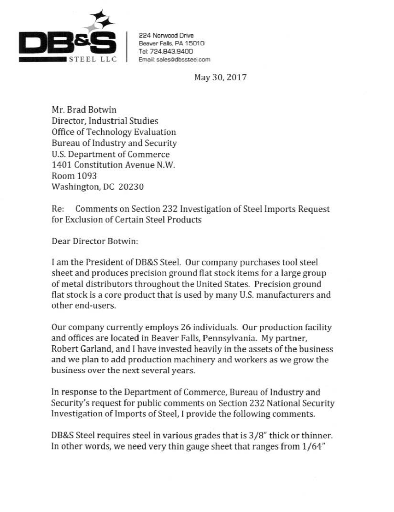

224 Norwood Oriw Beaver Falls, PA 15010 Tel: 724.843.9400 Email: sales@dbssteel.com

May 30, 2017

Mr. Brad Botwin Director, Industrial Studies Office of Technology Evaluation Bureau of Industry and Security U.S. Department of Commerce 1401 Constitution Avenue N.W. Room 1093 Washington, DC 20230

Re: Comments on Section 232 Jnvestigation of Steel Imports Request for Exclusion of Certain Steel Products

Dear Director Botwin:

I am the President of DB&S Steel. Our company purchases tool steel sheet and produces precision ground flat stock items for a large group of metal distributors throughout the United States. Precision ground flat stock is a core product that is used by many U.S. manufacturers and other end-users.

Our company currently employs 26 individuals. Our production facility and offices are located in Beaver Falls, Pennsylvania. My partner, Robert Garland, and I have invested heavily in the assets of the business and we plan to add production machinery and workers as we grow the business over the next several years.

In response to the Department of Commerce, Bureau of Industry and Security's request for public comments on Section 232 National Security Investigation of Imports of Steel, I provide the following comments.

DB&S Steel requires steel in various grades that is 3 /8" thick or thinner. In other words, we need very thin gauge sheet that ranges from 1/64"